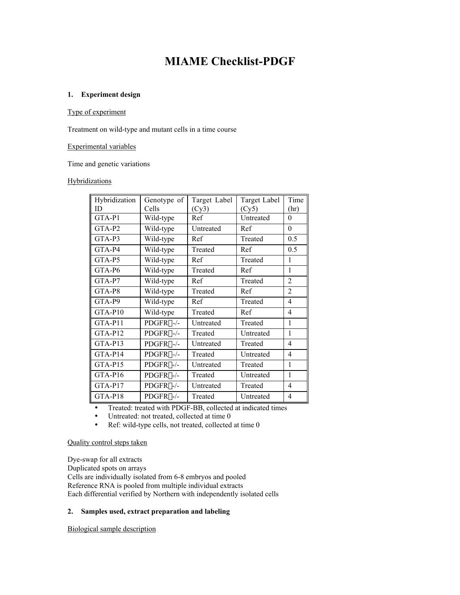# **MIAME Checklist-PDGF**

## **1. Experiment design**

## Type of experiment

Treatment on wild-type and mutant cells in a time course

#### Experimental variables

Time and genetic variations

## **Hybridizations**

| Hybridization<br>ID | Genotype of<br>Cells | Target Label<br>(Cy3) | Target Label<br>(Cy5) | Time<br>(hr)   |
|---------------------|----------------------|-----------------------|-----------------------|----------------|
| GTA-P1              | Wild-type            | Ref                   | Untreated             | 0              |
| $GTA-P2$            | Wild-type            | Untreated             | Ref                   | $\theta$       |
| $GTA-P3$            | Wild-type            | Ref                   | Treated               | 0.5            |
| $GTA-P4$            | Wild-type            | Treated               | Ref                   | 0.5            |
| $GTA-P5$            | Wild-type            | Ref                   | Treated               | 1              |
| GTA-P6              | Wild-type            | Treated               | Ref                   | 1              |
| GTA-P7              | Wild-type            | Ref                   | Treated               | $\overline{2}$ |
| GTA-P8              | Wild-type            | Treated               | Ref                   | $\overline{2}$ |
| GTA-P9              | Wild-type            | Ref                   | Treated               | 4              |
| GTA-P10             | Wild-type            | Treated               | Ref                   | 4              |
| $GTA-P11$           | $PDGFR\alpha$ -/-    | Untreated             | Treated               | 1              |
| $GTA-P12$           | $PDGFR\alpha$ -/-    | Treated               | Untreated             | 1              |
| GTA-P13             | $PDGFR\alpha$ -/-    | Untreated             | Treated               | 4              |
| GTA-P14             | $PDGFR\alpha$ -/-    | Treated               | Untreated             | $\overline{4}$ |
| GTA-P15             | $PDGFR\beta$ -/-     | Untreated             | Treated               | 1              |
| GTA-P16             | $PDGFR\beta$ -/-     | Treated               | Untreated             | 1              |
| GTA-P17             | $PDGFR\beta$ -/-     | Untreated             | Treated               | 4              |
| GTA-P18             | $PDGFR\beta$ -/-     | Treated               | Untreated             | $\overline{4}$ |

Treated: treated with PDGF-BB, collected at indicated times Untreated: not treated, collected at time 0 Ref: wild-type cells, not treated, collected at time 0

## Quality control steps taken

Dye-swap for all extracts Duplicated spots on arrays Cells are individually isolated from 6-8 embryos and pooled Reference RNA is pooled from multiple individual extracts Each differential verified by Northern with independently isolated cells

## **2. Samples used, extract preparation and labeling**

Biological sample description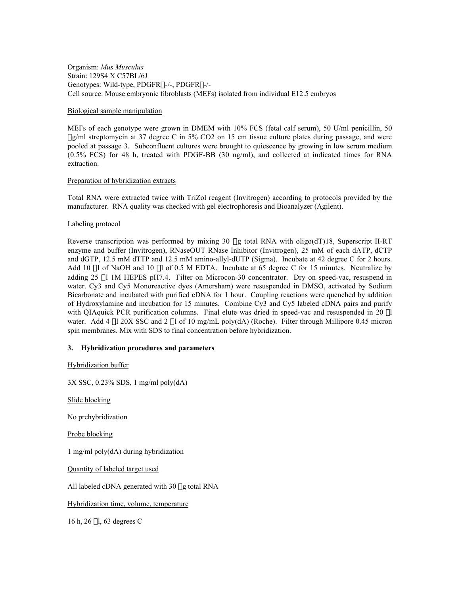Organism: *Mus Musculus* Strain: 129S4 X C57BL/6J Genotypes: Wild-type, PDGFRa-/-, PDGFRb-/- Cell source: Mouse embryonic fibroblasts (MEFs) isolated from individual E12.5 embryos

#### Biological sample manipulation

MEFs of each genotype were grown in DMEM with 10% FCS (fetal calf serum), 50 U/ml penicillin, 50 mg/ml streptomycin at 37 degree C in 5% CO2 on 15 cm tissue culture plates during passage, and were pooled at passage 3. Subconfluent cultures were brought to quiescence by growing in low serum medium (0.5% FCS) for 48 h, treated with PDGF-BB (30 ng/ml), and collected at indicated times for RNA extraction.

## Preparation of hybridization extracts

Total RNA were extracted twice with TriZol reagent (Invitrogen) according to protocols provided by the manufacturer. RNA quality was checked with gel electrophoresis and Bioanalyzer (Agilent).

## Labeling protocol

Reverse transcription was performed by mixing 30 µg total RNA with oligo(dT)18, Superscript II-RT enzyme and buffer (Invitrogen), RNaseOUT RNase Inhibitor (Invitrogen), 25 mM of each dATP, dCTP and dGTP, 12.5 mM dTTP and 12.5 mM amino-allyl-dUTP (Sigma). Incubate at 42 degree C for 2 hours. Add 10  $\mu$ l of NaOH and 10  $\mu$ l of 0.5 M EDTA. Incubate at 65 degree C for 15 minutes. Neutralize by adding 25 µl 1M HEPES pH7.4. Filter on Microcon-30 concentrator. Dry on speed-vac, resuspend in water. Cy3 and Cy5 Monoreactive dyes (Amersham) were resuspended in DMSO, activated by Sodium Bicarbonate and incubated with purified cDNA for 1 hour. Coupling reactions were quenched by addition of Hydroxylamine and incubation for 15 minutes. Combine Cy3 and Cy5 labeled cDNA pairs and purify with QIAquick PCR purification columns. Final elute was dried in speed-vac and resuspended in 20 µl water. Add 4  $\mu$ l 20X SSC and 2  $\mu$ l of 10 mg/mL poly(dA) (Roche). Filter through Millipore 0.45 micron spin membranes. Mix with SDS to final concentration before hybridization.

## **3. Hybridization procedures and parameters**

Hybridization buffer

3X SSC, 0.23% SDS, 1 mg/ml poly(dA)

Slide blocking

No prehybridization

Probe blocking

1 mg/ml poly(dA) during hybridization

Quantity of labeled target used

All labeled cDNA generated with 30 µg total RNA

Hybridization time, volume, temperature

16 h, 26 ml, 63 degrees C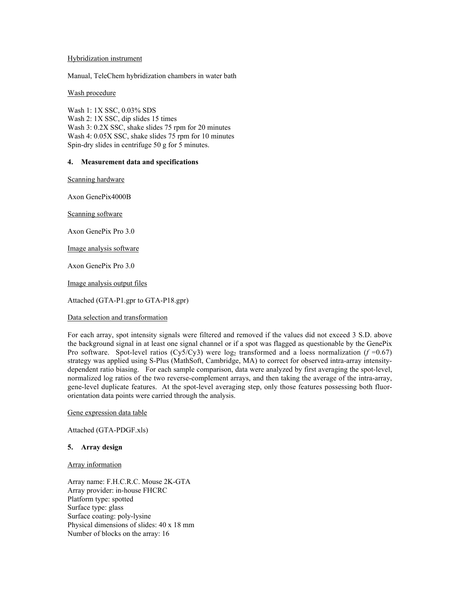#### Hybridization instrument

Manual, TeleChem hybridization chambers in water bath

## Wash procedure

Wash 1: 1X SSC, 0.03% SDS Wash 2: 1X SSC, dip slides 15 times Wash 3: 0.2X SSC, shake slides 75 rpm for 20 minutes Wash 4: 0.05X SSC, shake slides 75 rpm for 10 minutes Spin-dry slides in centrifuge 50 g for 5 minutes.

## **4. Measurement data and specifications**

Scanning hardware

Axon GenePix4000B

Scanning software

Axon GenePix Pro 3.0

Image analysis software

Axon GenePix Pro 3.0

Image analysis output files

Attached (GTA-P1.gpr to GTA-P18.gpr)

## Data selection and transformation

For each array, spot intensity signals were filtered and removed if the values did not exceed 3 S.D. above the background signal in at least one signal channel or if a spot was flagged as questionable by the GenePix Pro software. Spot-level ratios (Cy5/Cy3) were  $log_2$  transformed and a loess normalization ( $f = 0.67$ ) strategy was applied using S-Plus (MathSoft, Cambridge, MA) to correct for observed intra-array intensitydependent ratio biasing. For each sample comparison, data were analyzed by first averaging the spot-level, normalized log ratios of the two reverse-complement arrays, and then taking the average of the intra-array, gene-level duplicate features. At the spot-level averaging step, only those features possessing both fluororientation data points were carried through the analysis.

Gene expression data table

Attached (GTA-PDGF.xls)

## **5. Array design**

#### Array information

Array name: F.H.C.R.C. Mouse 2K-GTA Array provider: in-house FHCRC Platform type: spotted Surface type: glass Surface coating: poly-lysine Physical dimensions of slides: 40 x 18 mm Number of blocks on the array: 16